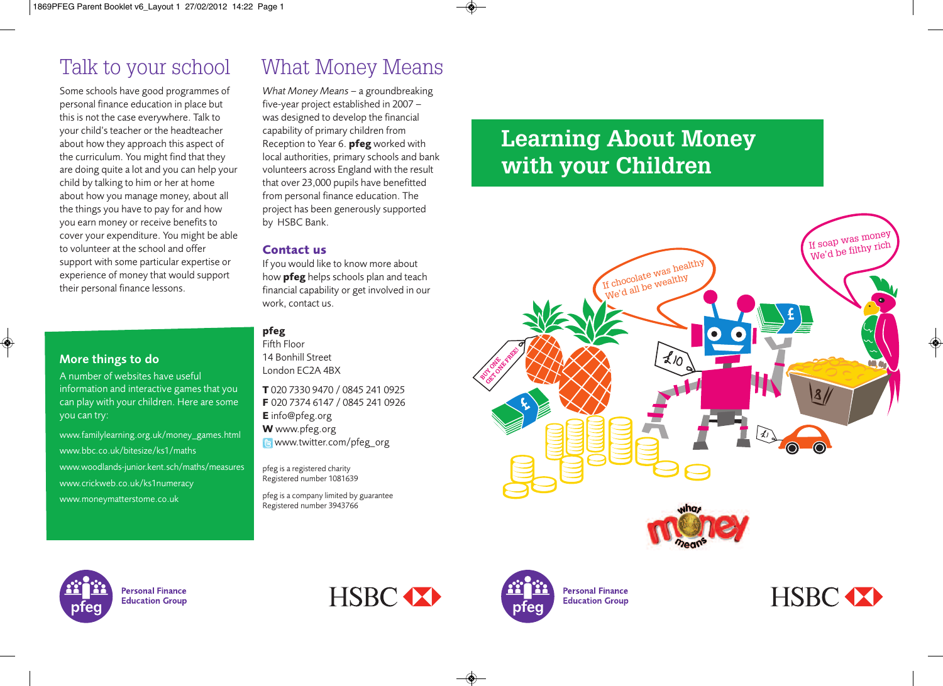Some schools have good programmes of personal finance education in place but this is not the case everywhere. Talk to your child's teacher or the headteacher about how they approach this aspect of the curriculum. You might find that they are doing quite a lot and you can help your child by talking to him or her at home about how you manage money, about all the things you have to pay for and how you earn money or receive benefits to cover your expenditure. You might be able to volunteer at the school and offer support with some particular expertise or experience of money that would support their personal finance lessons.

### **More things to do**

A number of websites have useful information and interactive games that you can play with your children. Here are some you can try:

www.familylearning.org.uk/money\_games.html www.bbc.co.uk/bitesize/ks1/maths www.woodlands-junior.kent.sch/maths/measures www.crickweb.co.uk/ks1numeracy www.moneymatterstome.co.uk

## Talk to your school What Money Means

*What Money Means* – a groundbreaking five-year project established in 2007 – was designed to develop the financial capability of primary children from Reception to Year 6. **pfeg** worked with local authorities, primary schools and bank volunteers across England with the result that over 23,000 pupils have benefitted from personal finance education. The project has been generously supported by HSBC Bank.

### **Contact us**

If you would like to know more about how **pfeg** helps schools plan and teach financial capability or get involved in our work, contact us.

### **pfeg**

Fifth Floor 14 Bonhill Street London EC2A 4BX

**T** 020 7330 9470 / 0845 241 0925 **F** 020 7374 6147 / 0845 241 0926 **E** info@pfeg.org **W** www.pfeg.org **B** www.twitter.com/pfeg\_org

pfeg is a registered charity Registered number 1081639

pfeg is a company limited by guarantee Registered number 3943766

## **Learning About Money with your Children**





**Personal Finance Education Group** 





**Personal Finance Education Group** 

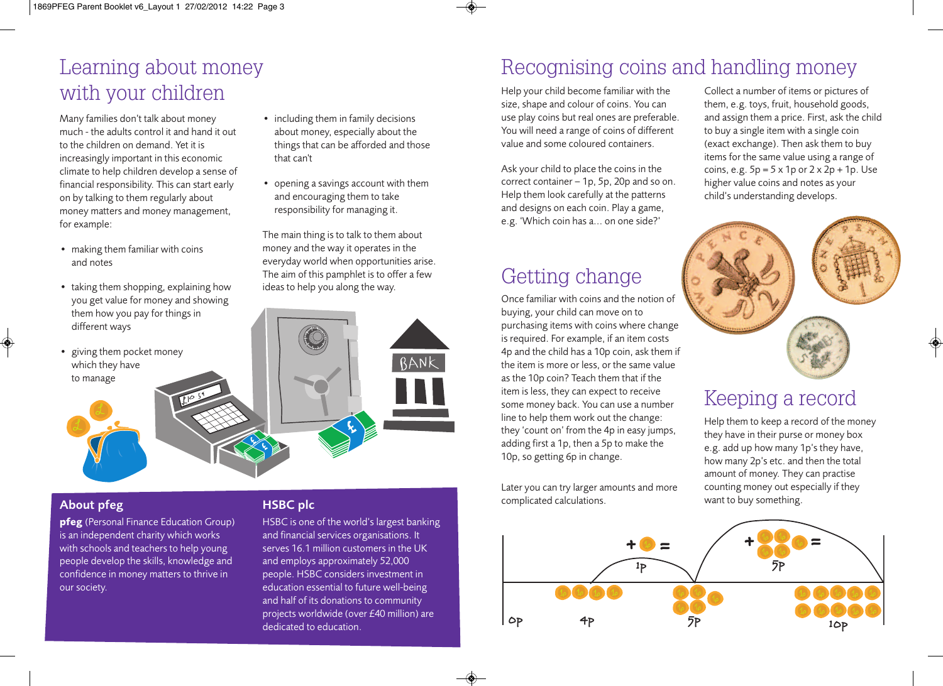## Learning about money with your children

Many families don't talk about money much - the adults control it and hand it out to the children on demand. Yet it is increasingly important in this economic climate to help children develop a sense of financial responsibility. This can start early on by talking to them regularly about money matters and money management, for example:

- making them familiar with coins and notes
- taking them shopping, explaining how you get value for money and showing them how you pay for things in different ways
- giving them pocket money which they have to manage
- including them in family decisions about money, especially about the things that can be afforded and those that can't
- opening a savings account with them and encouraging them to take responsibility for managing it.

The main thing is to talk to them about money and the way it operates in the everyday world when opportunities arise. The aim of this pamphlet is to offer a few ideas to help you along the way.

### value and some coloured containers. Ask your child to place the coins in the correct container – 1p, 5p, 20p and so on.

Help them look carefully at the patterns and designs on each coin. Play a game, e.g. 'Which coin has a... on one side?'

Help your child become familiar with the size, shape and colour of coins. You can use play coins but real ones are preferable. You will need a range of coins of different

## Getting change

Once familiar with coins and the notion of buying, your child can move on to purchasing items with coins where change is required. For example, if an item costs 4p and the child has a 10p coin, ask them if the item is more or less, or the same value as the 10p coin? Teach them that if the item is less, they can expect to receive some money back. You can use a number line to help them work out the change: they 'count on' from the 4p in easy jumps, adding first a 1p, then a 5p to make the 10p, so getting 6p in change.

Later you can try larger amounts and more complicated calculations.

0p

Collect a number of items or pictures of them, e.g. toys, fruit, household goods, and assign them a price. First, ask the child to buy a single item with a single coin (exact exchange). Then ask them to buy items for the same value using a range of coins, e.g.  $5p = 5 \times 1p$  or  $2 \times 2p + 1p$ . Use higher value coins and notes as your child's understanding develops.



## Keeping a record

Help them to keep a record of the money they have in their purse or money box e.g. add up how many 1p's they have, how many 2p's etc. and then the total amount of money. They can practise counting money out especially if they want to buy something.



 $\overline{5P}$ 

 $\frac{4}{7}$  10p

Recognising coins and handling money

### **About pfeg**

**pfeg** (Personal Finance Education Group) is an independent charity which works with schools and teachers to help young people develop the skills, knowledge and confidence in money matters to thrive in our society.

### **HSBC plc**

HSBC is one of the world's largest banking and financial services organisations. It serves 16.1 million customers in the UK and employs approximately 52,000 people. HSBC considers investment in education essential to future well-being and half of its donations to community projects worldwide (over £40 million) are dedicated to education.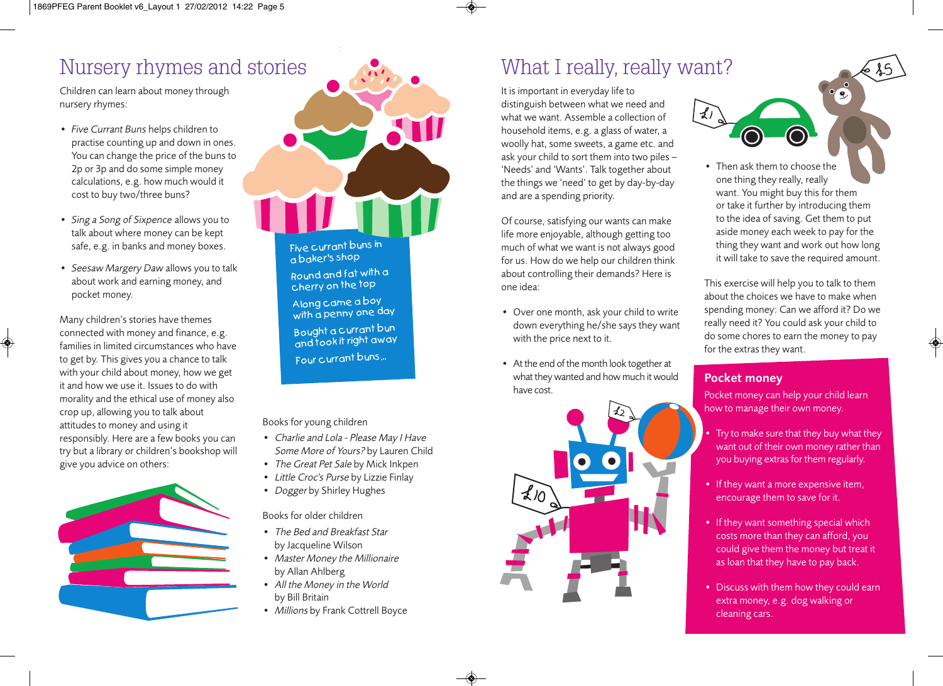## Nursery rhymes and stories

Children can learn about money through nursery rhymes:

- *Five Currant Buns* helps children to practise counting up and down in ones. You can change the price of the buns to 2p or 3p and do some simple money calculations, e.g. how much would it cost to buy two/three buns?
- *Sing a Song of Sixpence* allows you to talk about where money can be kept safe, e.g. in banks and money boxes.
- *Seesaw Margery Daw* allows you to talk about work and earning money, and pocket money.

Many children's stories have themes connected with money and finance, e.g. families in limited circumstances who have to get by. This gives you a chance to talk with your child about money, how we get it and how we use it. Issues to do with morality and the ethical use of money also crop up, allowing you to talk about attitudes to money and using it responsibly. Here are a few books you can try but a library or children's bookshop will give you advice on others:





Five curran<sup>t</sup> buns in <sup>a</sup> baker's shop Round and fat with <sup>a</sup> cherry on the top Along came <sup>a</sup> boy with a penny one day Bought <sup>a</sup> curran<sup>t</sup> bun and took it right away Four curran<sup>t</sup> buns...

Books for young children

- Charlie and Lola Please May <sup>I</sup> Have Some More of Yours? by Lauren Child
- The Great Pet Sale by Mick Inkpen
- Little Croc's Purse by Lizzie Finlay
- Dogger by Shirley Hughes

Books for older children

- The Bed and Breakfast Star by Jacqueline Wilson
- Master Money the Millionaire by Allan Ahlberg
- All the Money in the World by Bill Britain
- Millions by Frank Cottrell Boyce

## What I really, really want?

It is important in everyday life to distinguish between what we need and what we want. Assemble a collection of household items, e.g. a glass of water, a woolly hat, some sweets, a game etc. and ask your child to sort them into two piles – 'Needs' and 'Wants'. Talk together about the things we 'need' to get by day-by-day and are a spending priority.

Of course, satisfying our wants can make life more enjoyable, although getting too much of what we want is not always good for us. How do we help our children think about controlling their demands? Here is one idea:

- Over one month, ask your child to write down everything he/she says they want with the price next to it.
- At the end of the month look together at what they wanted and how much it would have cost.



• Then ask them to choose the one thing they really, really want. You might buy this for them or take it further by introducing them to the idea of saving. Get them to put aside money each week to pay for the thing they want and work out how long it will take to save the required amount.

This exercise will help you to talk to them about the choices we have to make when spending money: Can we afford it? Do we really need it? You could ask your child to do some chores to earn the money to pay for the extras they want.

### **Pocket money**

Pocket money can help your child learn how to manage their own money.

- Try to make sure that they buy what they want out of their own money rather than you buying extras for them regularly.
- If they want a more expensive item, encourage them to save for it.
- If they want something special which costs more than they can afford, you could give them the money but treat it as loan that they have to pay back.
- Discuss with them how they could earn extra money, e.g. dog walking or cleaning cars.